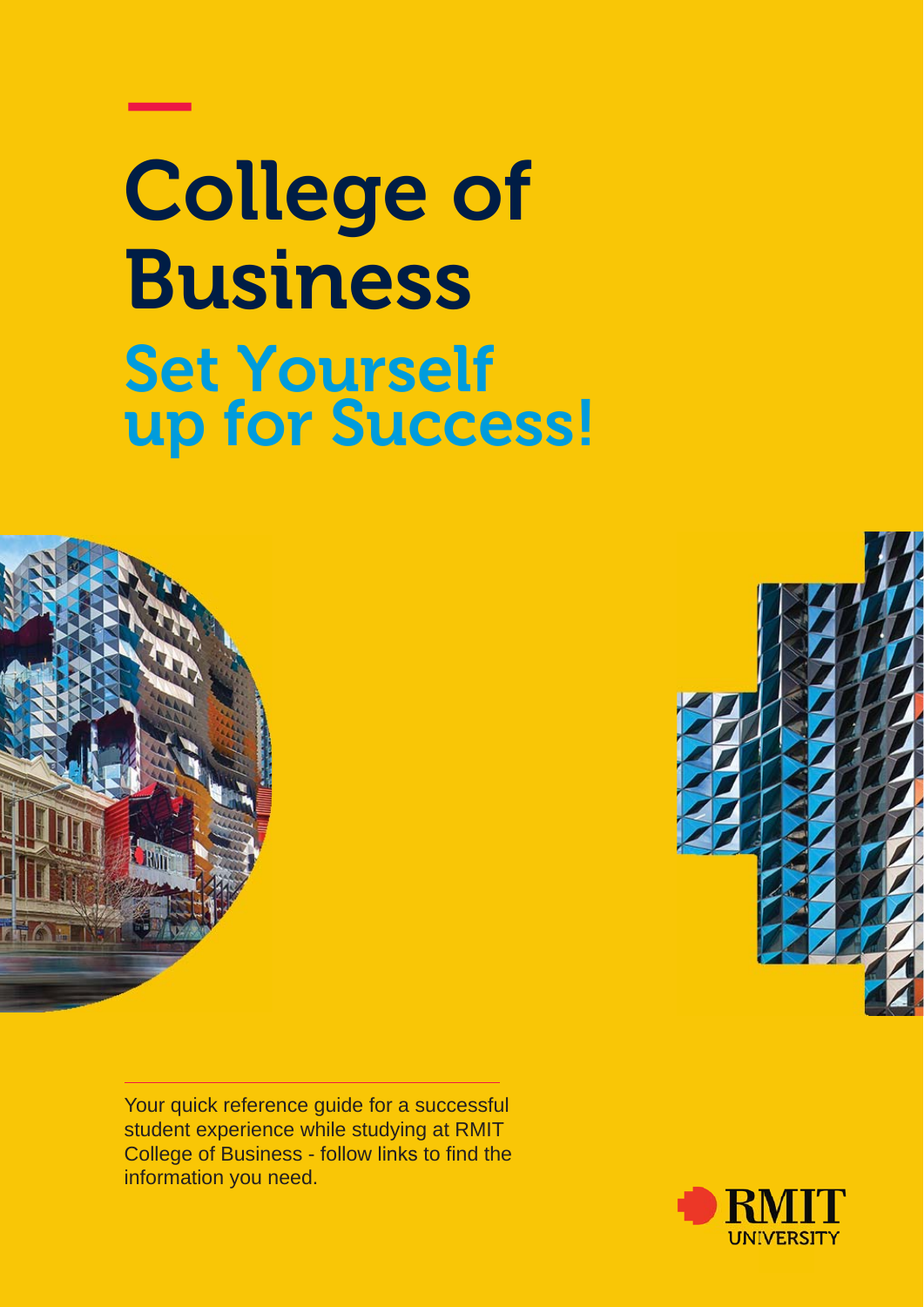# College of Business Set Yourself up for Success!



—

Your quick reference guide for a successful student experience while studying at RMIT College of Business - follow links to find the information you need.



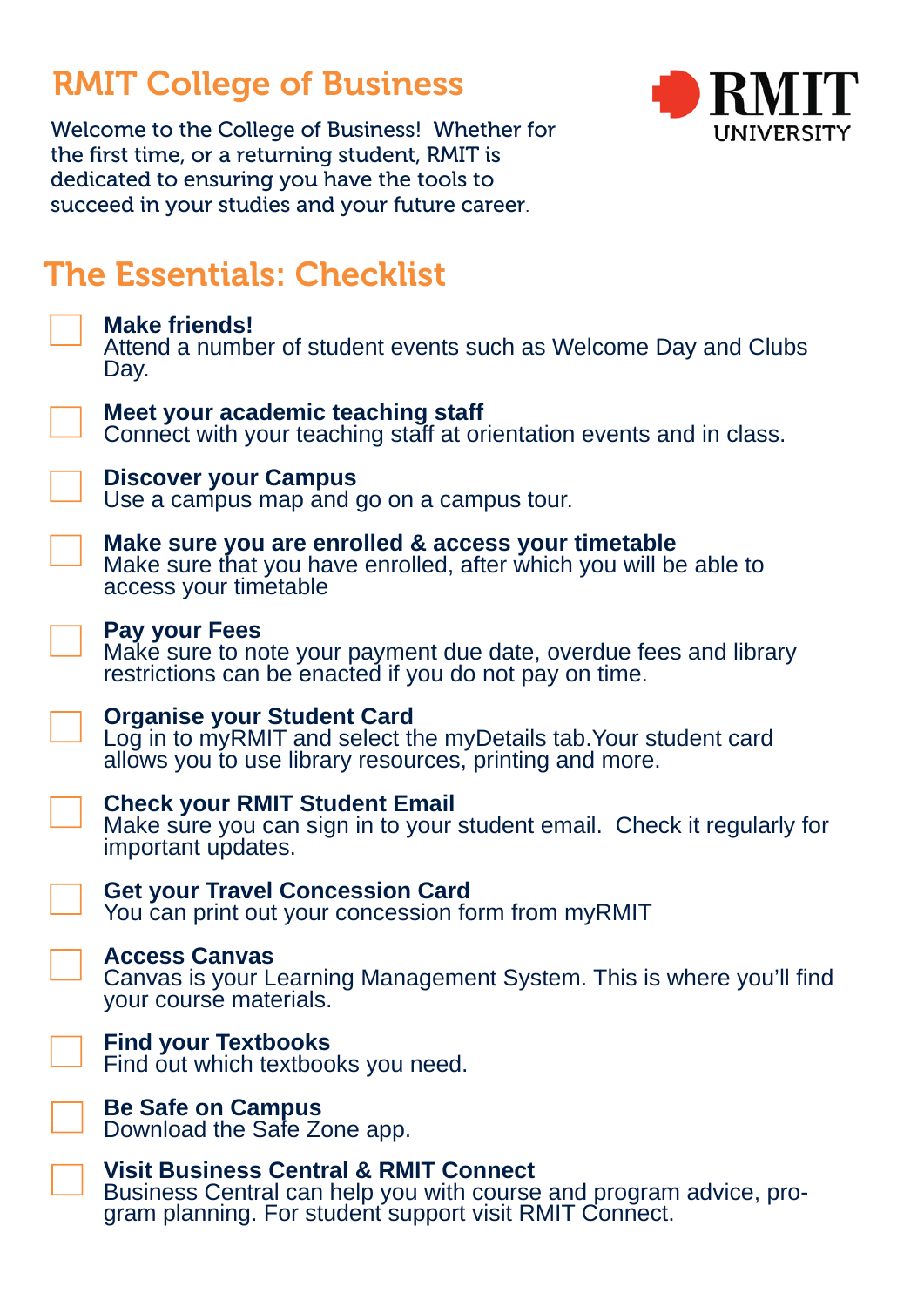## RMIT College of Business



Welcome to the College of Business! Whether for the first time, or a returning student, RMIT is dedicated to ensuring you have the tools to succeed in your studies and your future career.

## The Essentials: Checklist

**Make friends!**  Attend a number of student events such as Welcome Day and Clubs Day.

### **Meet your academic teaching staff**

 $\Box$  Connect with your teaching staff at orientation events and in class.

### **Discover your Campus**

Use a campus map and go on a campus tour.

### **Make sure you are enrolled & access your timetable**

Make sure that you have enrolled, after which you will be able to access your timetable

### **Pay your Fees**

Make sure to note your payment due date, overdue fees and library restrictions can be enacted if you do not pay on time.



### **Organise your Student Card**

Log in to myRMIT and select the myDetails tab.Your student card allows you to use library resources, printing and more.

**Check your RMIT Student Email** 

Make sure you can sign in to your student email. Check it regularly for important updates.

**Get your Travel Concession Card**

You can print out your concession form from myRMIT

### **Access Canvas**

Canvas is your Learning Management System. This is where you'll find your course materials.

**Find your Textbooks** 

Find out which textbooks you need.



**Visit Business Central & RMIT Connect** Business Central can help you with course and program advice, program planning. For student support visit RMIT Connect.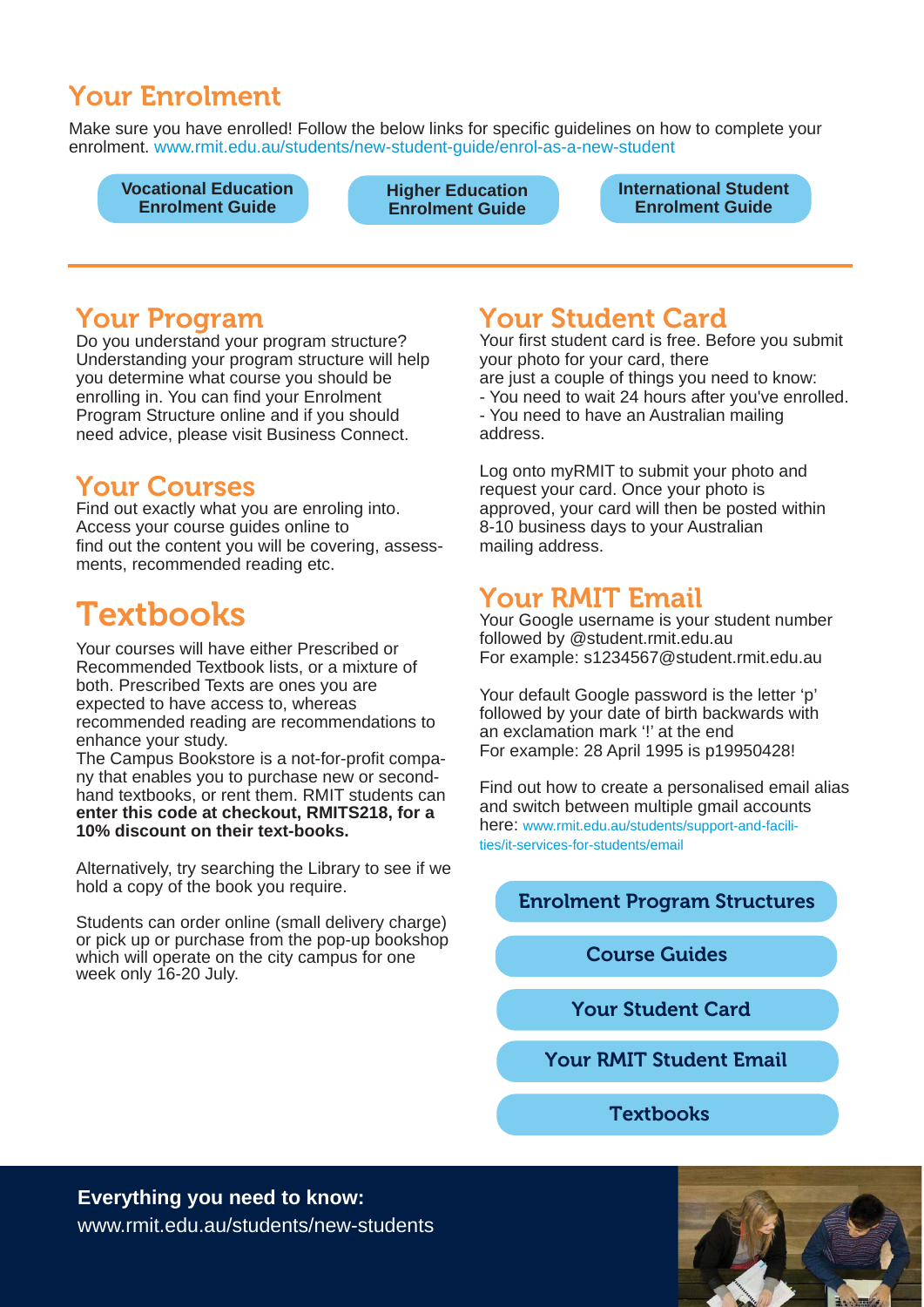## Your Enrolment

Make sure you have enrolled! Follow the below links for specific guidelines on how to complete your enrolment. www.rmit.edu.au/students/new-student-guide/enrol-as-a-new-student

**[Vocational Education](https://www.rmit.edu.au/students/new-student-guide/enrol-as-a-new-student/vocational-education-enrolment-guide)  Enrolment Guide**

**[Higher Education](https://www.rmit.edu.au/students/new-student-guide/enrol-as-a-new-student/higher-education-enrolment-guide)  Enrolment Guide**

**[International Student](https://www.rmit.edu.au/students/new-student-guide/enrol-as-a-new-student/international-students-enrolment-guide)  Enrolment Guide**

## Your Program

Do you understand your program structure? Understanding your program structure will help you determine what course you should be enrolling in. You can find your Enrolment Program Structure online and if you should need advice, please visit Business Connect.

### Your Courses

Find out exactly what you are enroling into. Access your course guides online to find out the content you will be covering, assessments, recommended reading etc.

## **Textbooks**

Your courses will have either Prescribed or Recommended Textbook lists, or a mixture of both. Prescribed Texts are ones you are expected to have access to, whereas recommended reading are recommendations to enhance your study.

The Campus Bookstore is a not-for-profit company that enables you to purchase new or secondhand textbooks, or rent them. RMIT students can **enter this code at checkout, RMITS218, for a 10% discount on their text-books.**

Alternatively, try searching the Library to see if we hold a copy of the book you require.

Students can order online (small delivery charge) or pick up or purchase from the pop-up bookshop which will operate on the city campus for one week only 16-20 July.

## Your Student Card

Your first student card is free. Before you submit your photo for your card, there are just a couple of things you need to know: - You need to wait 24 hours after you've enrolled. - You need to have an Australian mailing address.

Log onto myRMIT to submit your photo and request your card. Once your photo is approved, your card will then be posted within 8-10 business days to your Australian mailing address.

## Your RMIT Email

Your Google username is your student number followed by @student.rmit.edu.au For example: s1234567@student.rmit.edu.au

Your default Google password is the letter 'p' followed by your date of birth backwards with an exclamation mark '!' at the end For example: 28 April 1995 is p19950428!

Find out how to create a personalised email alias and switch between multiple gmail accounts [here: www.rmit.edu.au/students/support-and-facili](www.rmit.edu.au/students/support-and-facili-
ties/it-services-for-students/email)ties/it-services-for-students/email

[Enrolment Program Structures](www.rmit.edu.au/students/student-essentials/pro-
gram-and-course-information/enrolment-program-structures)

[Course Guides](www.rmit.edu.au/students/student-essentials/pro-
gram-and-course-information/course-guides)

 [Your Student Card](https://www.rmit.edu.au/students/student-essentials/enrolment/get-your-student-card)

 [Your RMIT Student Email](https://www.rmit.edu.au/students/support-and-facilities/it-services-for-students/email)

**[Textbooks](www.rmit.edu.au/students/support-and-facilities/c ampus-facilities/books-and-study-supplies)** 

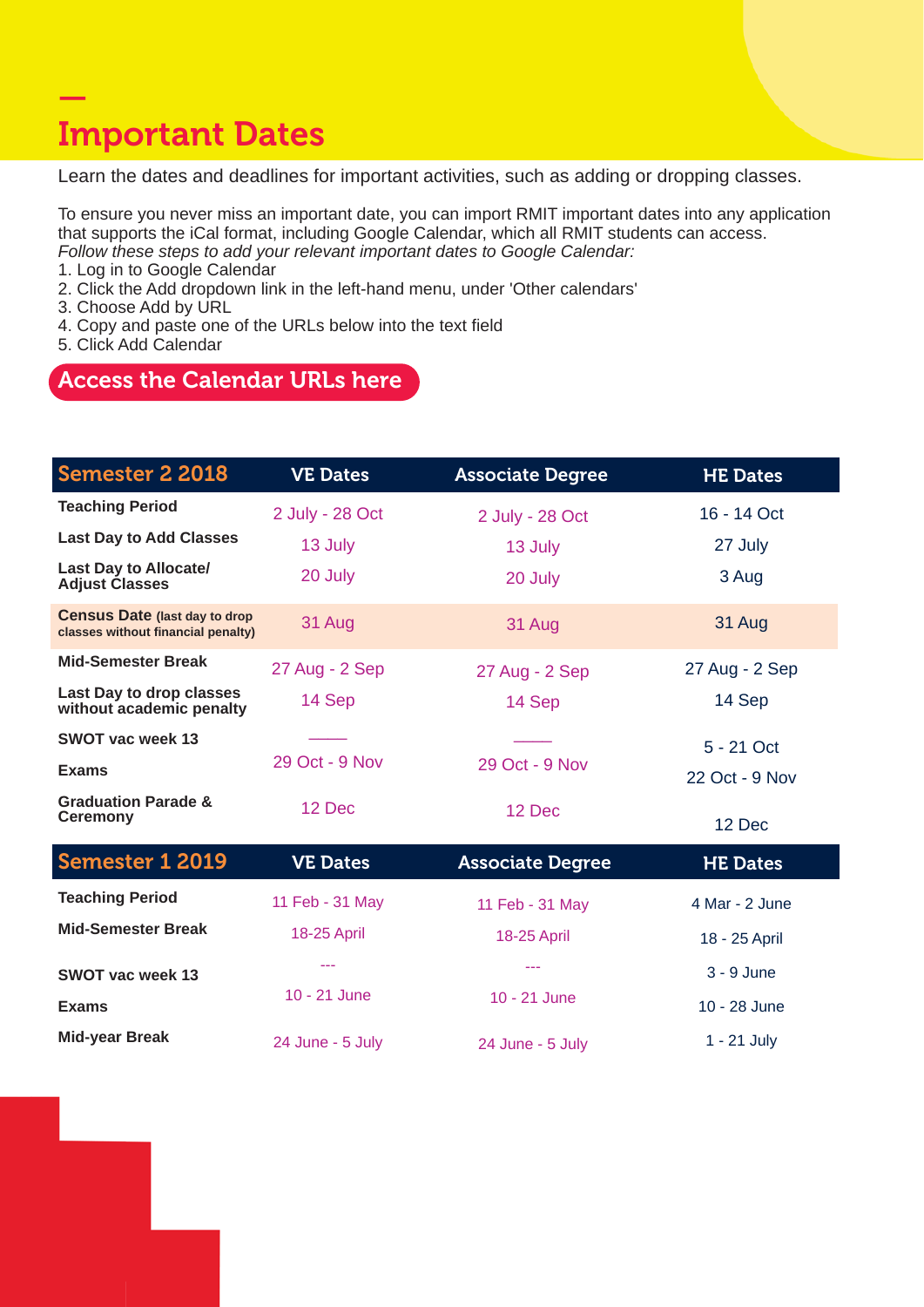## — Important Dates

Learn the dates and deadlines for important activities, such as adding or dropping classes.

To ensure you never miss an important date, you can import RMIT important dates into any application that supports the iCal format, including Google Calendar, which all RMIT students can access. *Follow these steps to add your relevant important dates to Google Calendar:*

1. Log in to Google Calendar

2. Click the Add dropdown link in the left-hand menu, under 'Other calendars'

3. Choose Add by URL

- 4. Copy and paste one of the URLs below into the text field
- 5. Click Add Calendar

### [Access the Calendar URLs here](https://www.rmit.edu.au/students/student-essentials/important-dates/download-to-you-calendar)

| <b>Semester 2 2018</b>                                                      | <b>VE Dates</b>  | <b>Associate Degree</b> | <b>HE Dates</b> |
|-----------------------------------------------------------------------------|------------------|-------------------------|-----------------|
| <b>Teaching Period</b>                                                      | 2 July - 28 Oct  | 2 July - 28 Oct         | 16 - 14 Oct     |
| <b>Last Day to Add Classes</b>                                              | 13 July          | 13 July                 | 27 July         |
| <b>Last Day to Allocate/</b><br><b>Adjust Classes</b>                       | 20 July          | 20 July                 | 3 Aug           |
| <b>Census Date (last day to drop)</b><br>classes without financial penalty) | 31 Aug           | 31 Aug                  | 31 Aug          |
| <b>Mid-Semester Break</b>                                                   | 27 Aug - 2 Sep   | 27 Aug - 2 Sep          | 27 Aug - 2 Sep  |
| Last Day to drop classes<br>without academic penalty                        | 14 Sep           | 14 Sep                  | 14 Sep          |
| <b>SWOT vac week 13</b>                                                     |                  |                         | 5 - 21 Oct      |
| <b>Exams</b>                                                                | 29 Oct - 9 Nov   | 29 Oct - 9 Nov          | 22 Oct - 9 Nov  |
| <b>Graduation Parade &amp;</b><br><b>Ceremony</b>                           | 12 Dec           | 12 Dec                  | 12 Dec          |
| <b>Semester 1 2019</b>                                                      | <b>VE Dates</b>  | <b>Associate Degree</b> | <b>HE Dates</b> |
| <b>Teaching Period</b>                                                      | 11 Feb - 31 May  | 11 Feb - 31 May         | 4 Mar - 2 June  |
| <b>Mid-Semester Break</b>                                                   | 18-25 April      | 18-25 April             | 18 - 25 April   |
| <b>SWOT vac week 13</b>                                                     | ---              | ---                     | $3 - 9$ June    |
| <b>Exams</b>                                                                | $10 - 21$ June   | 10 - 21 June            | 10 - 28 June    |
| <b>Mid-year Break</b>                                                       | 24 June - 5 July | 24 June - 5 July        | $1 - 21$ July   |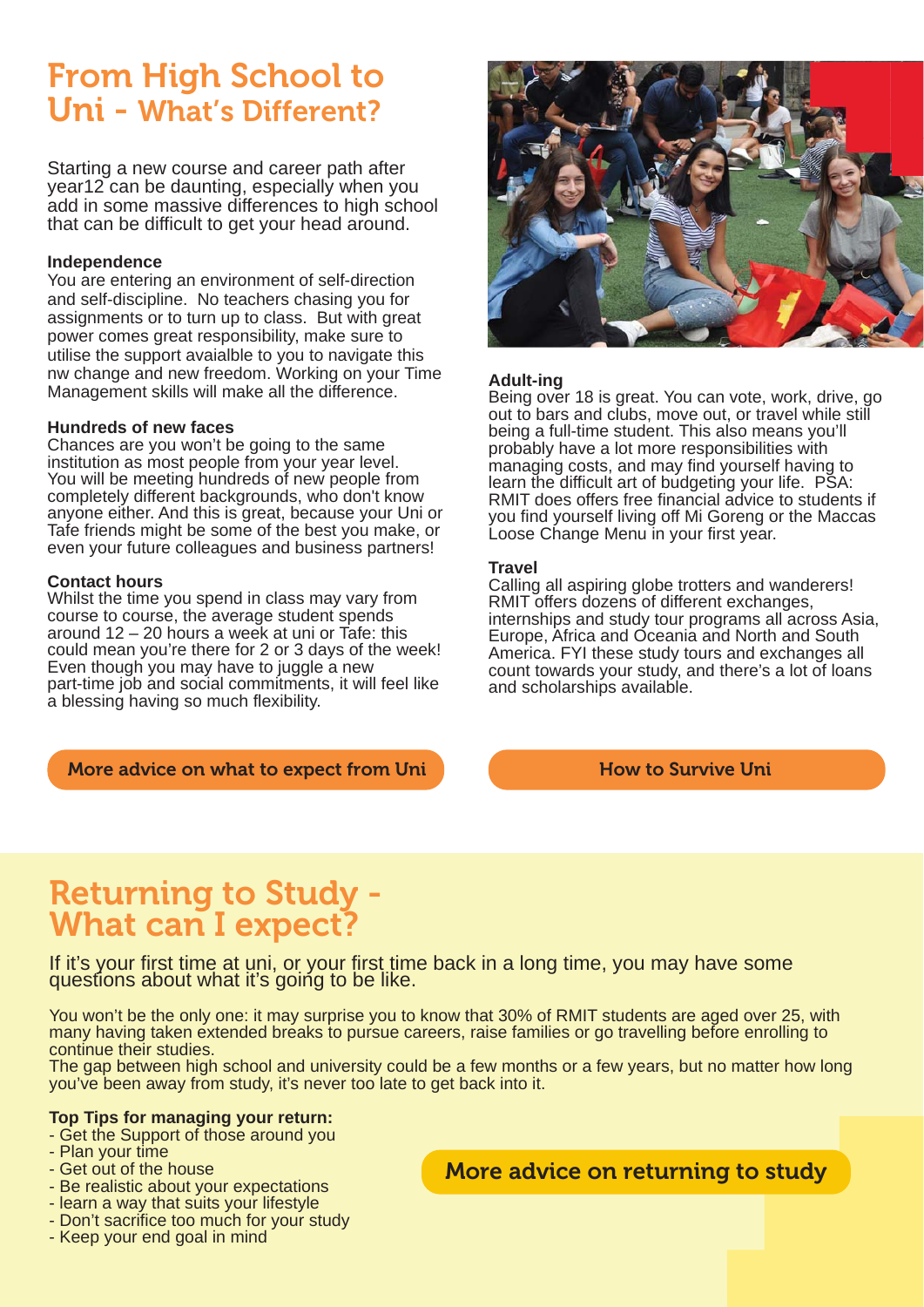## From High School to Uni - What's Different?

Starting a new course and career path after year12 can be daunting, especially when you add in some massive differences to high school that can be difficult to get your head around.

#### **Independence**

You are entering an environment of self-direction and self-discipline. No teachers chasing you for assignments or to turn up to class. But with great power comes great responsibility, make sure to utilise the support avaialble to you to navigate this nw change and new freedom. Working on your Time Management skills will make all the difference.

#### **Hundreds of new faces**

Chances are you won't be going to the same institution as most people from your year level. You will be meeting hundreds of new people from completely different backgrounds, who don't know anyone either. And this is great, because your Uni or Tafe friends might be some of the best you make, or even your future colleagues and business partners!

#### **Contact hours**

Whilst the time you spend in class may vary from course to course, the average student spends around 12 – 20 hours a week at uni or Tafe: this could mean you're there for 2 or 3 days of the week! Even though you may have to juggle a new part-time job and social commitments, it will feel like a blessing having so much flexibility.

[More advice on what to expect from Uni](www.topuniversities.com/student-info/health-and-support/starting-university-what-expect) **[How to Survive Uni](https://www.savethestudent.org/extra-guides/freshers/13-skills-to-help-you-survive-university.html)** How to Survive Uni

#### **Adult-ing**

Being over 18 is great. You can vote, work, drive, go out to bars and clubs, move out, or travel while still being a full-time student. This also means you'll probably have a lot more responsibilities with managing costs, and may find yourself having to learn the difficult art of budgeting your life. PSA: RMIT does offers free financial advice to students if you find yourself living off Mi Goreng or the Maccas Loose Change Menu in your first year.

#### **Travel**

Calling all aspiring globe trotters and wanderers! RMIT offers dozens of different exchanges, internships and study tour programs all across Asia, Europe, Africa and Oceania and North and South America. FYI these study tours and exchanges all count towards your study, and there's a lot of loans and scholarships available.

## Returning to Study - What can I expect?

If it's your first time at uni, or your first time back in a long time, you may have some questions about what it's going to be like.

You won't be the only one: it may surprise you to know that 30% of RMIT students are aged over 25, with many having taken extended breaks to pursue careers, raise families or go travelling before enrolling to continue their studies.

The gap between high school and university could be a few months or a few years, but no matter how long you've been away from study, it's never too late to get back into it.

### **Top Tips for managing your return:**

- Get the Support of those around you
- Plan your time
- Get out of the house
- Be realistic about your expectations
- learn a way that suits your lifestyle
- Don't sacrifice too much for your study
- Keep your end goal in mind

[More advice on returning to study](rmit.edu.au/content/dam/rmit/documents/Campaigns/returning-to-learning-v2.pdf)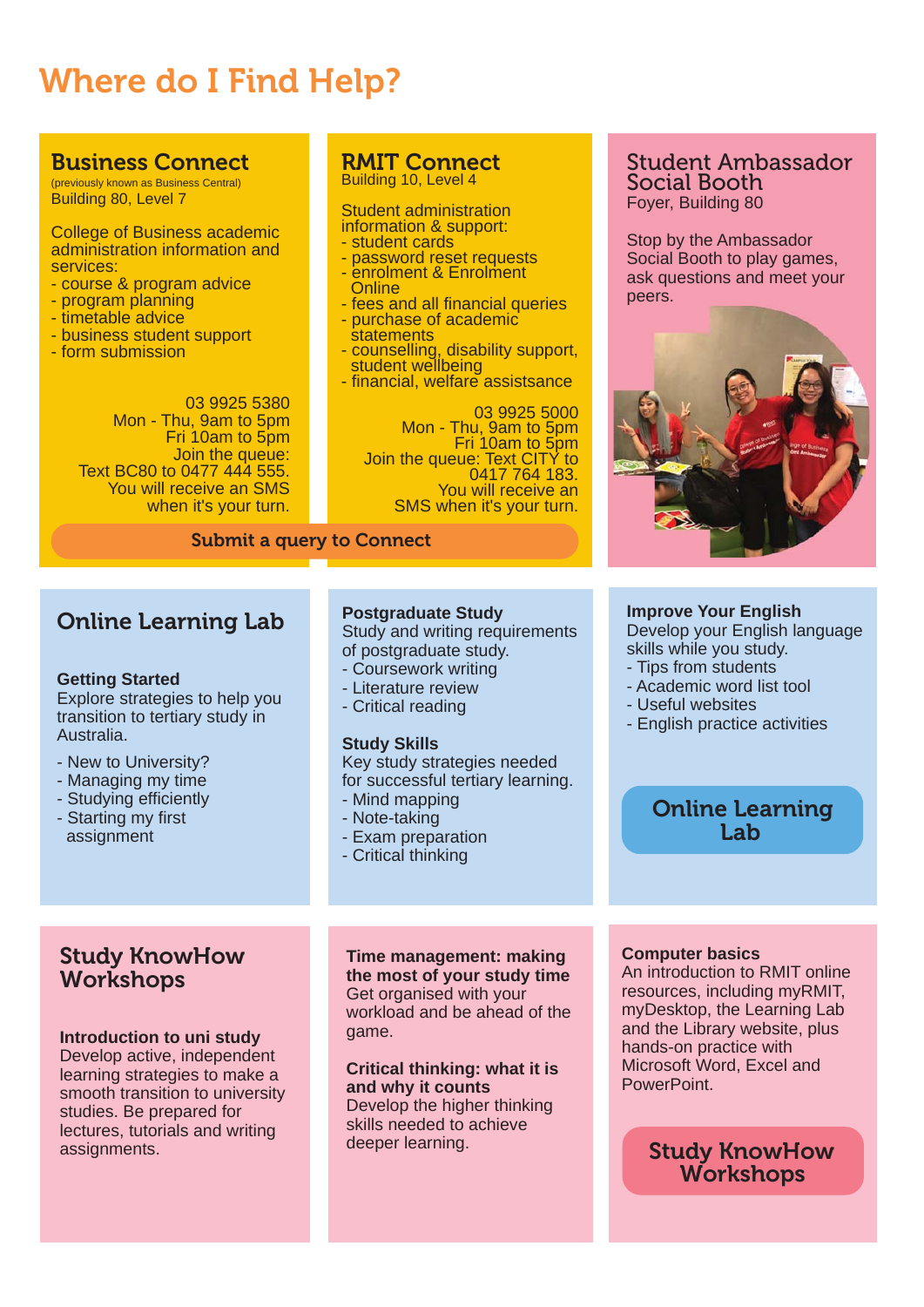# Where do I Find Help?

### [Business Connect](https://rmit.service-now.com/connect/?id=rmit_index)

(previously known as Business Central) Building 80, Level 7

College of Business academic administration information and services:

- course & program advice
- program planning
- timetable advice
- business student support
- form submission

03 9925 5380 Mon - Thu, 9am to 5pm Fri 10am to 5pm Join the queue: Text BC80 to 0477 444 555. You will receive an SMS when it's your turn.

#### RMIT Connect Building 10, Level 4

#### Student administration information & support:

- student cards
- password reset requests
- enrolment & Enrolment Online
- fees and all financial queries
- purchase of academic **statements**
- counselling, disability support, student wellbeing
- financial, welfare assistsance

03 9925 5000 Mon - Thu, 9am to 5pm<br>Fri 10am to 5pm<br>Join the queue: Text CITY to 0417 764 183. You will receive an SMS when it's your turn.

#### Submit a query to Connect

### Online Learning Lab

#### **Getting Started**

Explore strategies to help you transition to tertiary study in Australia.

- New to University?
- Managing my time
- Studying efficiently
- Starting my first assignment

### Study KnowHow **Workshops**

#### **Introduction to uni study**

Develop active, independent learning strategies to make a smooth transition to university studies. Be prepared for lectures, tutorials and writing assignments.

#### **Postgraduate Study**

Study and writing requirements of postgraduate study.

- Coursework writing
- Literature review
- Critical reading

#### **Study Skills**

Key study strategies needed for successful tertiary learning.

- Mind mapping
- Note-taking
- Exam preparation
- Critical thinking

**Time management: making the most of your study time** Get organised with your workload and be ahead of the game.

**Critical thinking: what it is and why it counts** Develop the higher thinking

skills needed to achieve deeper learning.

### Student Ambassador Social Booth Foyer, Building 80

Stop by the Ambassador Social Booth to play games, ask questions and meet your peers.



#### **Improve Your English**

[Develop your English language](https://www.rmit.edu.au/students/study-support/english-language-development)  skills while you study.

- Tips from students
- Academic word list tool
- Useful websites
- English practice activities

### [Online Learning](https://www.rmit.edu.au/students/study-support/learning-lab)  Lab

#### **Computer basics**

An introduction to RMIT online resources, including myRMIT, myDesktop, the Learning Lab and the Library website, plus hands-on practice with Microsoft Word, Excel and PowerPoint.

### [Study KnowHow](https://www.rmit.edu.au/students/study-support/study-and-learning-centre)  **Workshops**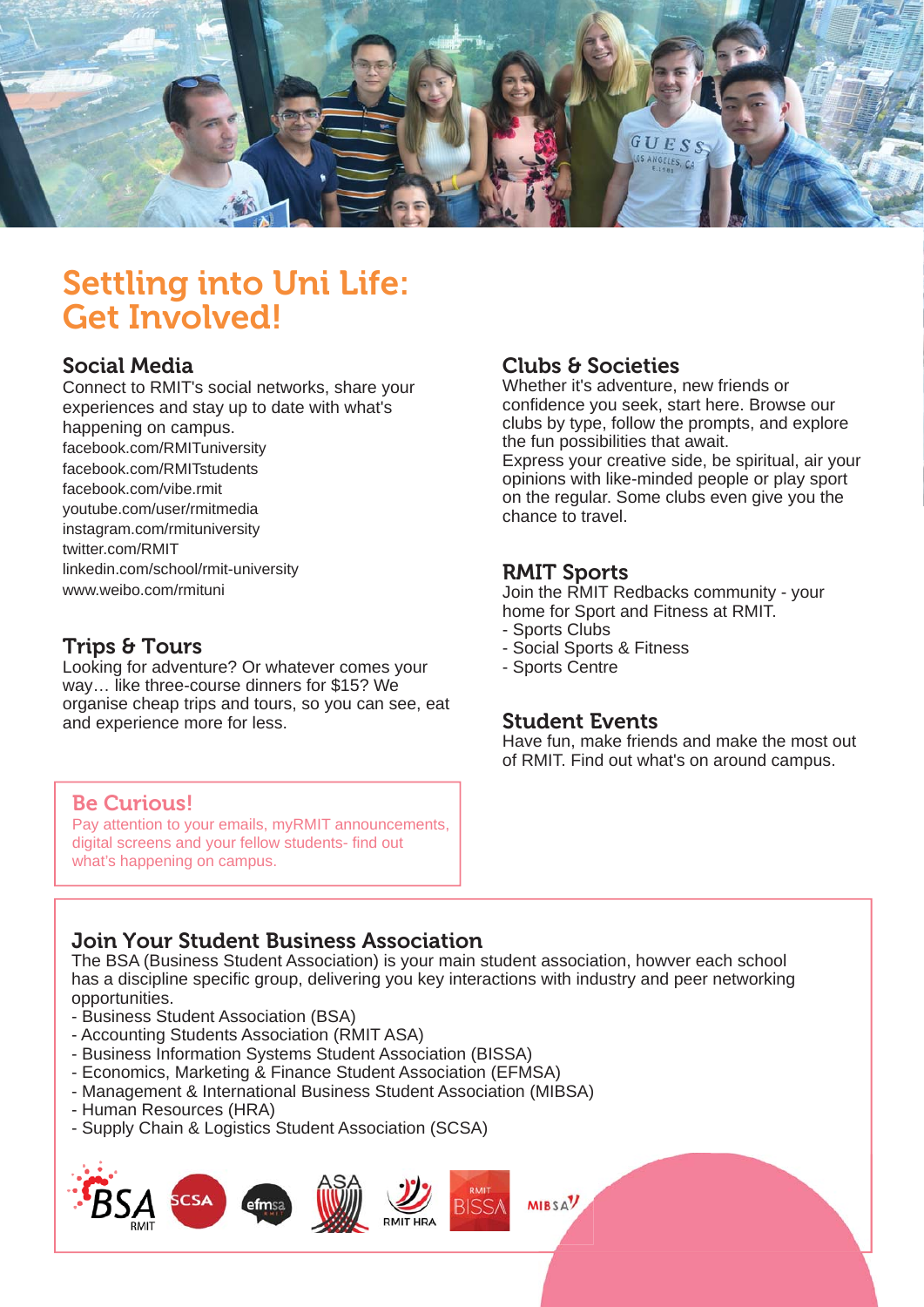

## Settling into Uni Life: Get Involved!

### Social Media

[Connect to RMIT's social networks, share your](https://www.rmit.edu.au/students/life-and-work-opportunities/social-media-for-students)  experiences and stay up to date with what's happening on campus. facebook.com/RMITuniversity facebook.com/RMITstudents facebook.com/vibe.rmit youtube.com/user/rmitmedia instagram.com/rmituniversity twitter.com/RMIT linkedin.com/school/rmit-university www.weibo.com/rmituni

### Trips & Tours

Looking for adventure? Or whatever comes your way… like three-course dinners for \$15? We [organise cheap trips and tours, so you can see, eat](https://www.rmit.edu.au/students/life-and-work-opportunities/trips-and-tours)  and experience more for less.

### Clubs & Societies

Whether it's adventure, new friends or confidence you seek, start here. Browse our clubs by type, follow the prompts, and explore the fun possibilities that await.

[Express your creative side, be spiritual, air your](https://www.rmit.edu.au/students/life-and-work-opportunities/clubs-and-societies)  opinions with like-minded people or play sport on the regular. Some clubs even give you the chance to travel.

### RMIT Sports

[Join the RMIT Redbacks community - your](https://www.rmit.edu.au/students/life-and-work-opportunities/sport-and-fitness)  home for Sport and Fitness at RMIT.

- Sports Clubs
- Social Sports & Fitness
- Sports Centre

### Student Events

[Have fun, make friends and make the most out](https://www.rmit.edu.au/students/news-and-events/events)  of RMIT. Find out what's on around campus.

### Be Curious!

Pay attention to your emails, myRMIT announcements, digital screens and your fellow students- find out what's happening on campus.

### Join Your Student Business Association

The BSA (Business Student Association) is your main student association, howver each school has a discipline specific group, delivering you key interactions with industry and peer networking opportunities.

- Business Student Association (BSA)
- Accounting Students Association (RMIT ASA)
- Business Information Systems Student Association (BISSA)
- Economics, Marketing & Finance Student Association (EFMSA)
- Management & International Business Student Association (MIBSA)
- Human Resources (HRA)
- Supply Chain & Logistics Student Association (SCSA)

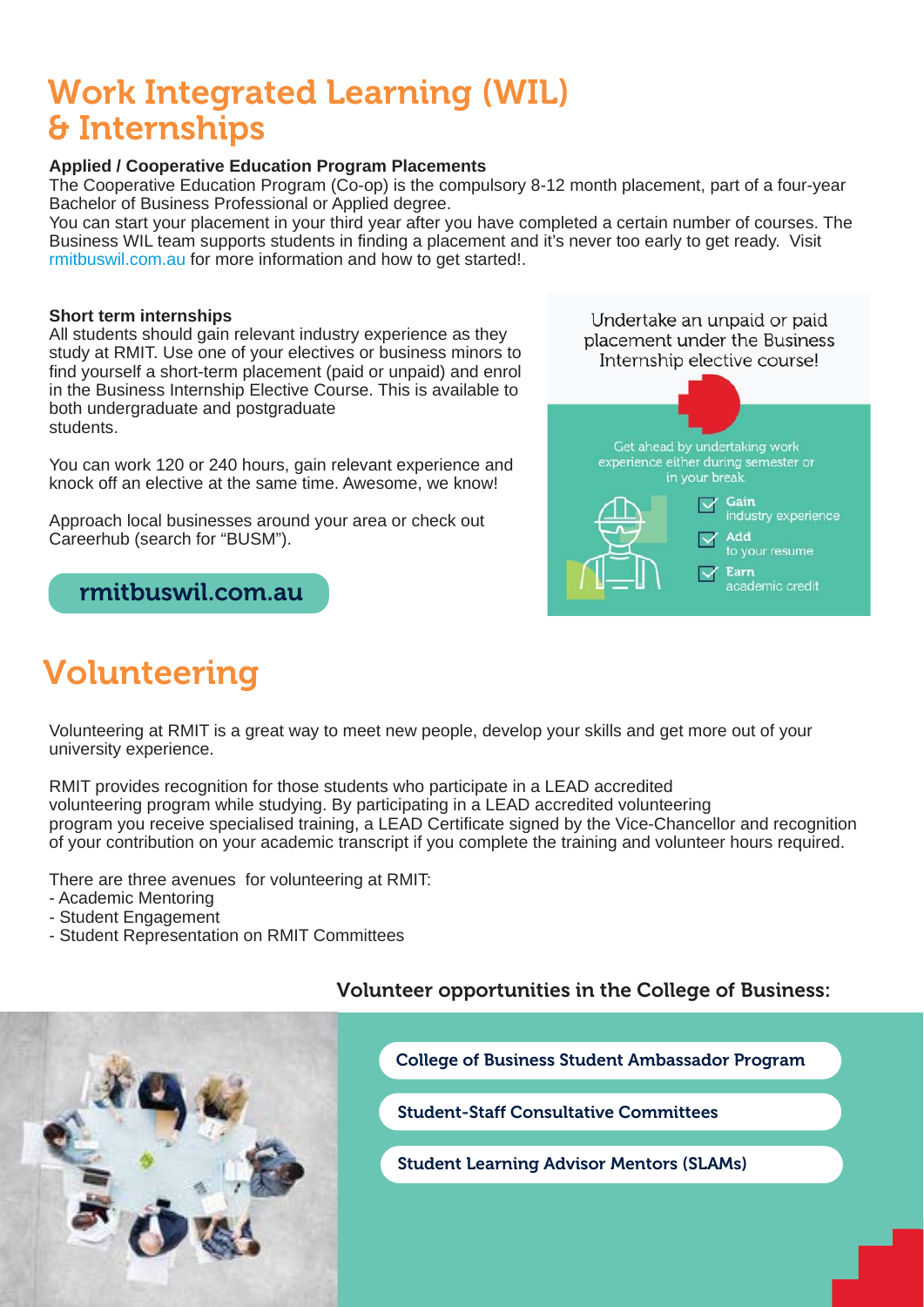## Work Integrated Learning (WIL) & Internships

### **Applied / Cooperative Education Program Placements**

The Cooperative Education Program (Co-op) is the compulsory 8-12 month placement, part of a four-year Bachelor of Business Professional or Applied degree.

You can start your placement in your third year after you have completed a certain number of courses. The Business WIL team supports students in finding a placement and it's never too early to get ready. Visit <rmitbuswil.com.au>for more information and how to get started!.

#### **Short term internships**

All students should gain relevant industry experience as they study at RMIT. Use one of your electives or business minors to find yourself a short-term placement (paid or unpaid) and enrol in the Business Internship Elective Course. This is available to both undergraduate and postgraduate students.

You can work 120 or 240 hours, gain relevant experience and knock off an elective at the same time. Awesome, we know!

Approach local businesses around your area or check out Careerhub (search for "BUSM").

### <rmitbuswil.com.au>

## Volunteering



Volunteering at RMIT is a great way to meet new people, develop your skills and get more out of your university experience.

RMIT provides recognition for those students who participate in a LEAD accredited volunteering program while studying. By participating in a LEAD accredited volunteering program you receive specialised training, a LEAD Certificate signed by the Vice-Chancellor and recognition of your contribution on your academic transcript if you complete the training and volunteer hours required.

There are three avenues for volunteering at RMIT:

- Academic Mentoring
- Student Engagement
- Student Representation on RMIT Committees



### Volunteer opportunities in the College of Business:

[College of Business Student Ambassador Program](https://www.rmit.edu.au/students/life-and-work-opportunities/volunteering/student-ambassadors) 

[Student-Staff Consultative Committees](https://www.rmit.edu.au/students/life-and-work-opportunities/student-representation/student-staff-consultative-committees-ssccs)

[Student Learning Advisor Mentors \(SLAMs\)](https://www.rmit.edu.au/students/study-support/study-mentoring-programs/stent-learning-academic-mentors--slams-)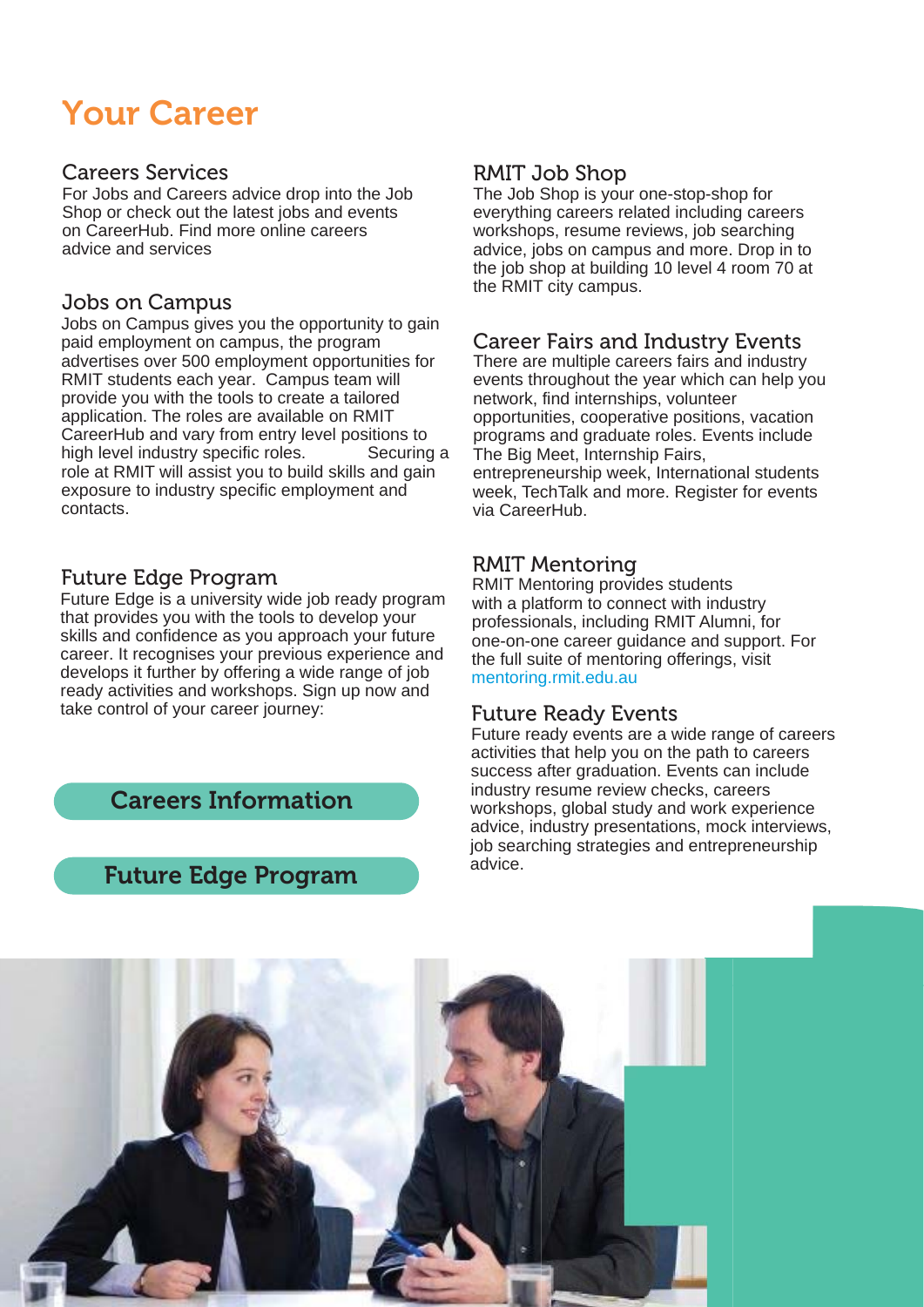## Your Career

### Careers Services

For Jobs and Careers advice drop into the Job Shop or check out the latest jobs and events on CareerHub. Find more online careers advice and services

### Jobs on Campus

Jobs on Campus gives you the opportunity to gain paid employment on campus, the program advertises over 500 employment opportunities for RMIT students each year. Campus team will provide you with the tools to create a tailored application. The roles are available on RMIT CareerHub and vary from entry level positions to high level industry specific roles. Securing a role at RMIT will assist you to build skills and gain exposure to industry specific employment and contacts.

### Future Edge Program

Future Edge is a university wide job ready program that provides you with the tools to develop your skills and confidence as you approach your future career. It recognises your previous experience and develops it further by offering a wide range of job ready activities and workshops. Sign up now and take control of your career journey:

 [Careers Information](rmit.edu.au/students/life-and-work-opportunitie s)

### [Future Edge Program](rmit.edu.au/students/life-and-work-opportunitie s/jobs-and-career-advice/future-edge)

### RMIT Job Shop

The Job Shop is your one-stop-shop for everything careers related including careers workshops, resume reviews, job searching advice, jobs on campus and more. Drop in to the job shop at building 10 level 4 room 70 at the RMIT city campus.

### Career Fairs and Industry Events

There are multiple careers fairs and industry events throughout the year which can help you network, find internships, volunteer opportunities, cooperative positions, vacation programs and graduate roles. Events include The Big Meet, Internship Fairs, entrepreneurship week, International students week, TechTalk and more. Register for events via CareerHub.

### RMIT Mentoring

RMIT Mentoring provides students with a platform to connect with industry professionals, including RMIT Alumni, for one-on-one career guidance and support. For the full suite of mentoring offerings, visit <mentoring.rmit.edu.au>

### Future Ready Events

Future ready events are a wide range of careers activities that help you on the path to careers success after graduation. Events can include industry resume review checks, careers workshops, global study and work experience advice, industry presentations, mock interviews, job searching strategies and entrepreneurship advice.

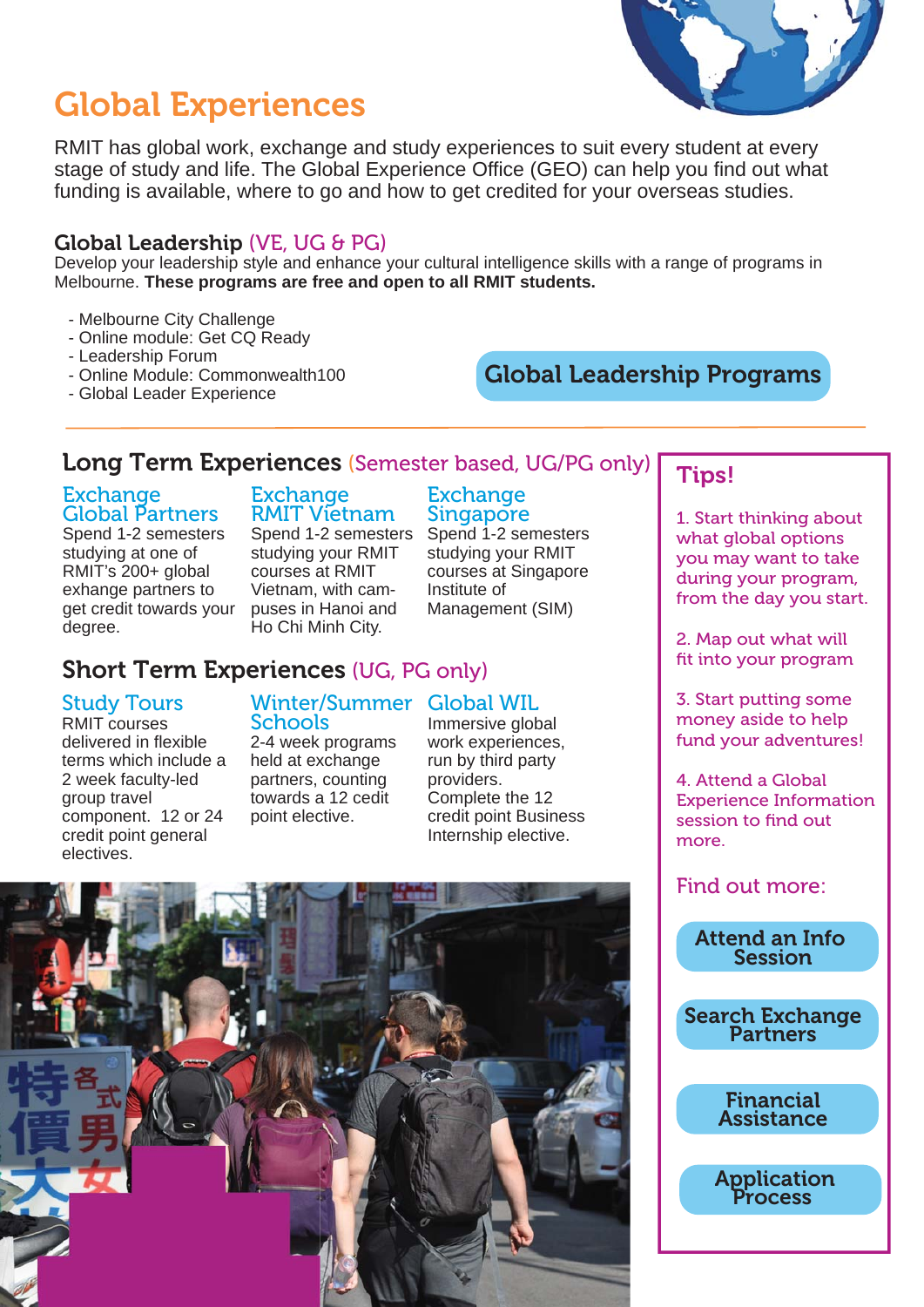## Global Experiences

RMIT has global work, exchange and study experiences to suit every student at every stage of study and life. The Global Experience Office (GEO) can help you find out what funding is available, where to go and how to get credited for your overseas studies.

### Global Leadership (VE, UG & PG)

Develop your leadership style and enhance your cultural intelligence skills with a range of programs in Melbourne. **These programs are free and open to all RMIT students.**

### - Melbourne City Challenge

- Online module: Get CQ Ready
- Leadership Forum
- Online Module: Commonwealth100
- Global Leader Experience

### [Global Leadership Programs](https://www.rmit.edu.au/students/life-and-work-opportunities/global-study-and-work/global-programs/global-leadership)

### Long Term Experiences (Semester based, UG/PG only)

### **Exchange** Global Partners

Spend 1-2 semesters studying at one of RMIT's 200+ global exhange partners to get credit towards your degree.

#### Exchange RMIT Vietnam Spend 1-2 semesters

studying your RMIT courses at RMIT Vietnam, with campuses in Hanoi and Ho Chi Minh City.

### Exchange **Singapore**

Spend 1-2 semesters studying your RMIT courses at Singapore Institute of Management (SIM)

### [Short Term Experiences](https://www.rmit.edu.au/students/life-and-work-opportunities/global-study-and-work/global-programs) (UG, PG only)

### Study Tours

RMIT courses delivered in flexible terms which include a 2 week faculty-led group travel component. 12 or 24 credit point general electives.

#### Winter/Summer Global WIL **Schools**

2-4 week programs held at exchange partners, counting towards a 12 cedit point elective.

Immersive global work experiences, run by third party providers. Complete the 12 credit point Business Internship elective.



### Tips!

1. Start thinking about what global options you may want to take during your program, from the day you start.

2. Map out what will fit into your program

3. Start putting some money aside to help fund your adventures!

4. Attend a Global Experience Information session to find out more.

Find out more:



[Search Exchange](https://www.rmit.edu.au/students/life-and-work-opportunities/global-study-and-work/exchange-partners) Partners

Financial [Assistance](https://www.rmit.edu.au/students/life-and-work-opportunities/global-study-and-work/costs-and-scholarships)

 [Application](https://www.rmit.edu.au/students/life-and-work-opportunities/global-study-and-work/how-to-apply)  Process

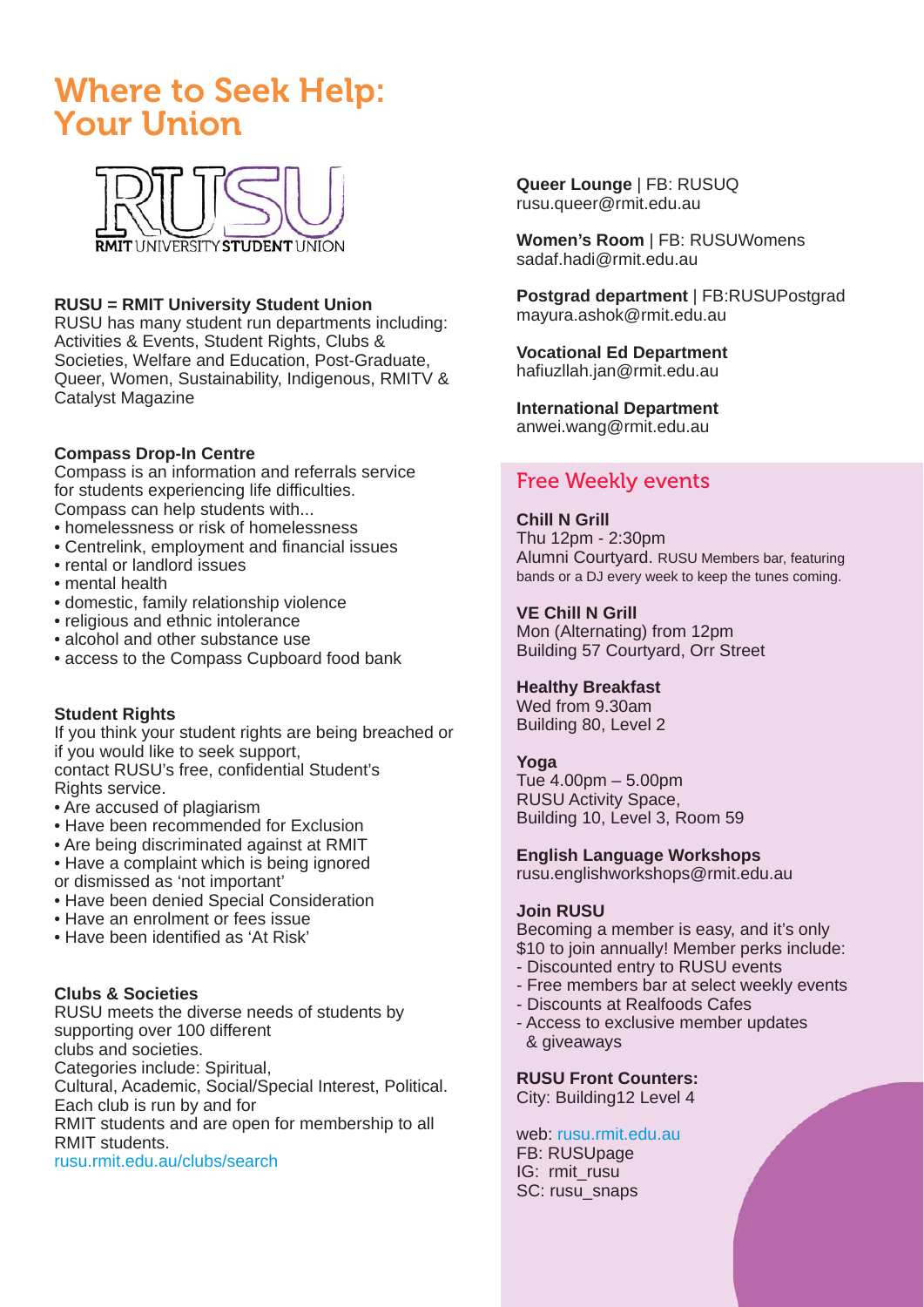## Where to Seek Help: Your Union



### **RUSU = RMIT University Student Union**

RUSU has many student run departments including: Activities & Events, Student Rights, Clubs & Societies, Welfare and Education, Post-Graduate, Queer, Women, Sustainability, Indigenous, RMITV & Catalyst Magazine

### **Compass Drop-In Centre**

Compass is an information and referrals service for students experiencing life difficulties. Compass can help students with...

- homelessness or risk of homelessness
- Centrelink, employment and financial issues
- rental or landlord issues
- mental health
- domestic, family relationship violence
- religious and ethnic intolerance
- alcohol and other substance use
- access to the Compass Cupboard food bank

### **Student Rights**

If you think your student rights are being breached or if you would like to seek support, contact RUSU's free, confidential Student's Rights service.

- Are accused of plagiarism
- Have been recommended for Exclusion
- Are being discriminated against at RMIT
- Have a complaint which is being ignored
- or dismissed as 'not important'
- Have been denied Special Consideration
- Have an enrolment or fees issue
- Have been identified as 'At Risk'

### **Clubs & Societies**

RUSU meets the diverse needs of students by supporting over 100 different clubs and societies.

Categories include: Spiritual,

[Cultural, Academic, Social/Special Interest, Political.](rusu.rmit.edu.au)  Each club is run by and for

RMIT students and are open for membership to all RMIT students.

rusu.rmit.edu.au/clubs/search

**Queer Lounge** | FB: RUSUQ rusu.queer@rmit.edu.au

**Women's Room** | FB: RUSUWomens sadaf.hadi@rmit.edu.au

**Postgrad department** | FB:RUSUPostgrad mayura.ashok@rmit.edu.au

#### **Vocational Ed Department**  hafiuzllah.jan@rmit.edu.au

**International Department** anwei.wang@rmit.edu.au

### Free Weekly events

### **Chill N Grill**

Thu 12pm - 2:30pm [Alumni Courtyard. RUSU Members bar, featuring](rusu.rmit.edu.au)  bands or a DJ every week to keep the tunes coming.

### **VE Chill N Grill**

Mon (Alternating) from 12pm Building 57 Courtyard, Orr Street

### **Healthy Breakfast**

Wed from 9.30am Building 80, Level 2

### **Yoga**

Tue 4.00pm – 5.00pm RUSU Activity Space, Building 10, Level 3, Room 59

**English Language Workshops**

rusu.englishworkshops@rmit.edu.au

### **Join RUSU**

Becoming a member is easy, and it's only \$10 to join annually! Member perks include:

- Discounted entry to RUSU events
- Free members bar at select weekly events
- Discounts at Realfoods Cafes
- Access to exclusive member updates & giveaways

**RUSU Front Counters:**

City: Building12 Level 4

web: rusu.rmit.edu.au FB: RUSUpage IG: rmit\_rusu SC: rusu\_snaps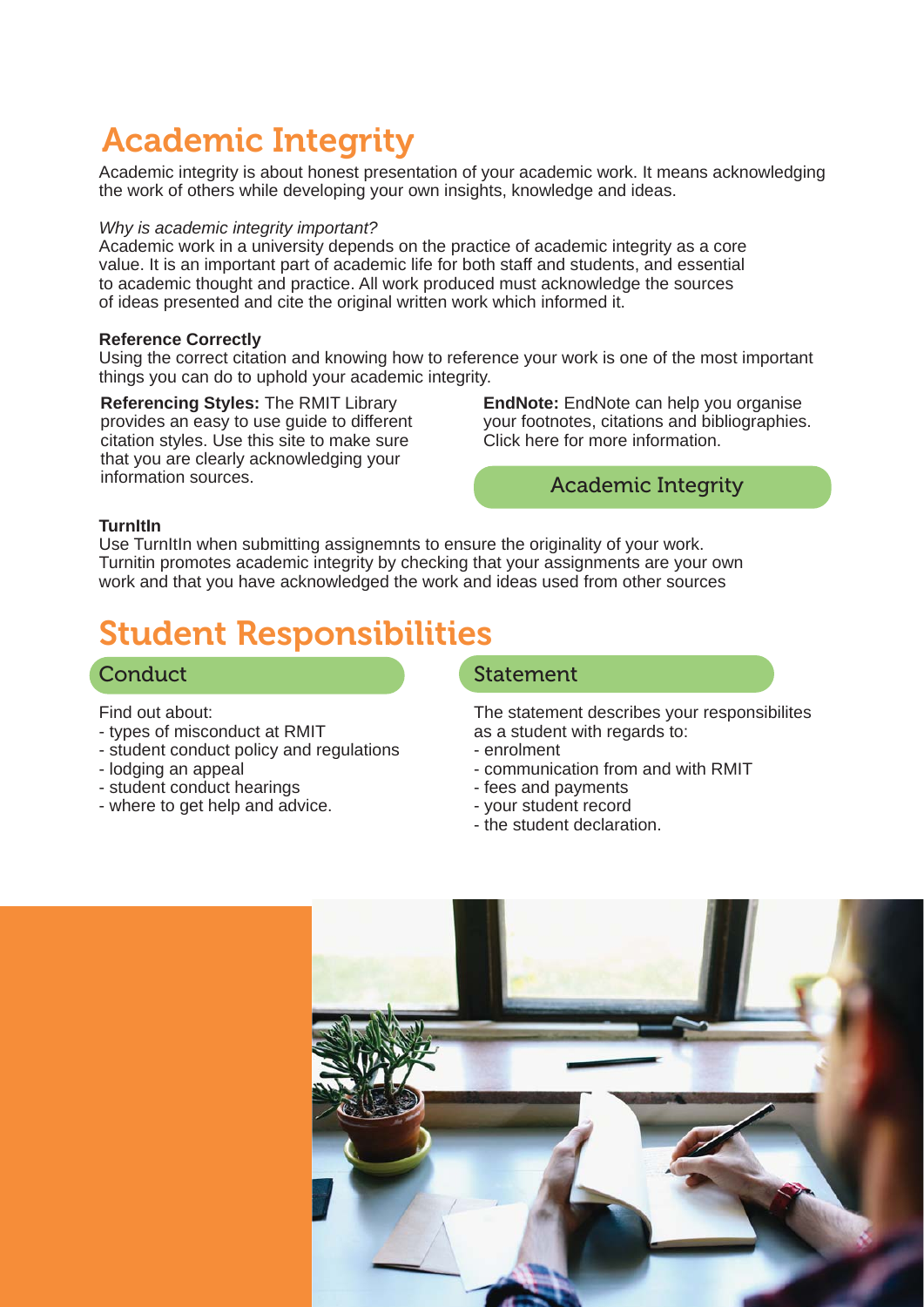# Academic Integrity

Academic integrity is about honest presentation of your academic work. It means acknowledging the work of others while developing your own insights, knowledge and ideas.

#### *Why is academic integrity important?*

Academic work in a university depends on the practice of academic integrity as a core value. It is an important part of academic life for both staff and students, and essential to academic thought and practice. All work produced must acknowledge the sources of ideas presented and cite the original written work which informed it.

### **Reference Correctly**

Using the correct citation and knowing how to reference your work is one of the most important things you can do to uphold your academic integrity.

**Referencing Styles:** The RMIT Library provides an easy to use guide to different citation styles. Use this site to make sure that you are clearly acknowledging your information sources.

**EndNote:** EndNote can help you organise your footnotes, citations and bibliographies. Click here for more information.

### [Academic Integrity](https://www.rmit.edu.au/students/student-essentials/rights-and-responsibilities/academic-integrity)

#### **TurnItIn**

Use TurnItIn when submitting assignemnts to ensure the originality of your work. Turnitin promotes academic integrity by checking that your assignments are your own work and that you have acknowledged the work and ideas used from other sources

## Student Responsibilities

### **[Conduct](https://www.rmit.edu.au/students/student-essentials/rights-and-responsibilities/student-responsibilities/conduct)**

Find out about:

- types of misconduct at RMIT
- student conduct policy and regulations
- lodging an appeal
- student conduct hearings
- where to get help and advice.

### [Statement](https://www.rmit.edu.au/students/student-essentials/rights-and-responsibilities/student-responsibilities/statement)

The statement describes your responsibilites as a student with regards to:

- enrolment
- communication from and with RMIT
- fees and payments
- your student record
- the student declaration.

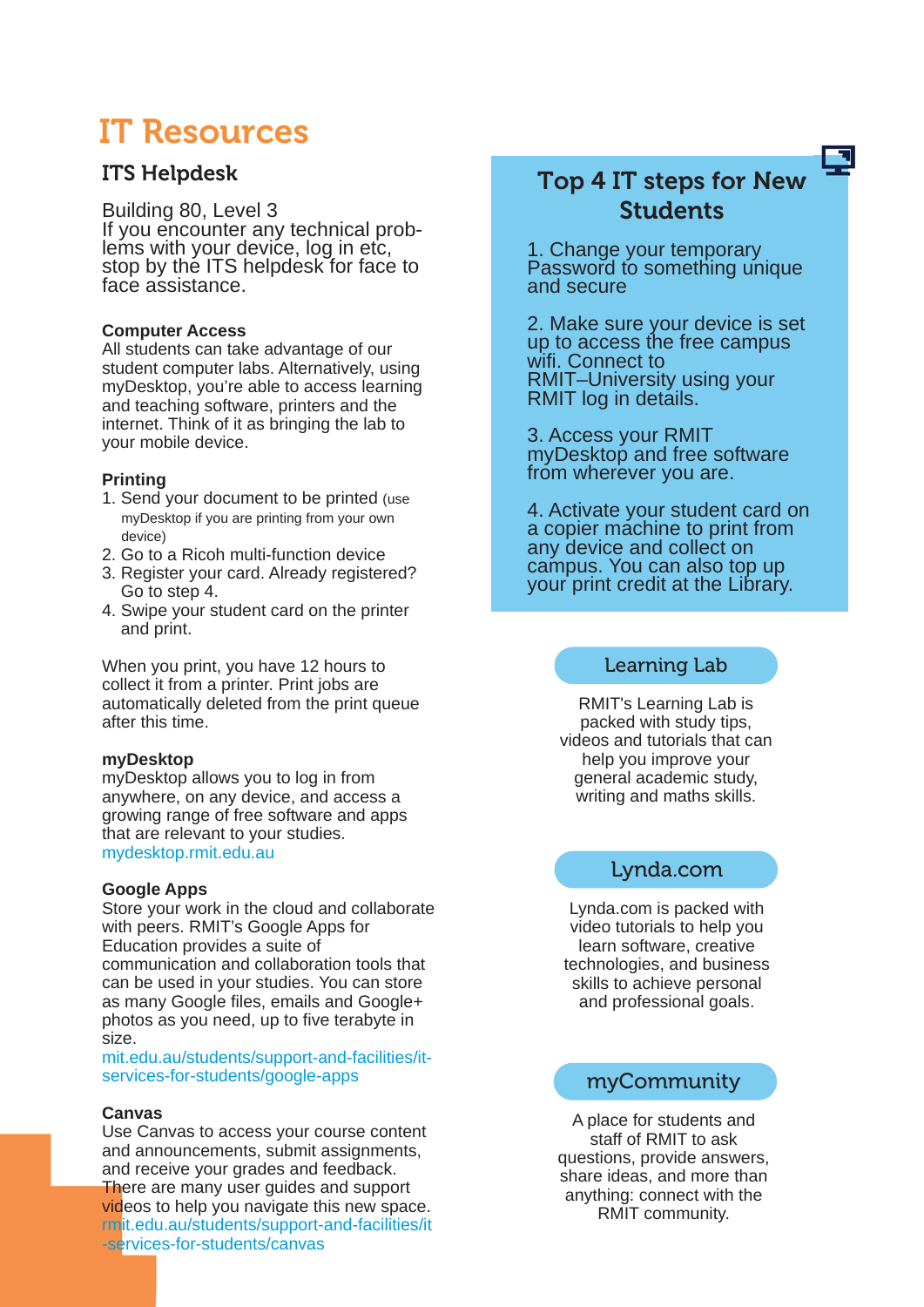## IT Resources

### ITS Helpdesk

### Building 80, Level 3

If you encounter any technical problems with your device, log in etc, stop by the ITS helpdesk for face to face assistance.

### **Computer Access**

All students can take advantage of our student computer labs. Alternatively, using myDesktop, you're able to access learning and teaching software, printers and the internet. Think of it as bringing the lab to your mobile device.

### **Printing**

- 1. Send your document to be printed (use myDesktop if you are printing from your own device)
- 2. Go to a Ricoh multi-function device
- 3. Register your card. Already registered? Go to step 4.
- 4. Swipe your student card on the printer and print.

When you print, you have 12 hours to collect it from a printer. Print jobs are [automatically deleted from the print queue](https://www.rmit.edu.au/students/support-and-facilities/it-services-for-students/printing)  after this time.

### **myDesktop**

myDesktop allows you to log in from anywhere, on any device, and access a [growing range of free software and apps](https://www.rmit.edu.au/students/support-and-facilities/it-services-for-students/mydesktop)  that are relevant to your studies. mydesktop.rmit.edu.au

### **Google Apps**

[Store your work in the cloud and collaborate](https://www.rmit.edu.au/students/support-and-facilities/it-services-for-students/google-apps) with peers. RMIT's Google Apps for Education provides a suite of communication and collaboration tools that can be used in your studies. You can store as many Google files, emails and Google+ photos as you need, up to five terabyte in size.

mit.edu.au/students/support-and-facilities/itservices-for-students/google-apps

### **Canvas**

Use Canvas to access your course content and announcements, submit assignments, and receive your grades and feedback. There are many user guides and support videos to help you navigate this new space. [rmit.edu.au/students/support-and-facilities/it](https://www.rmit.edu.au/students/support-and-facilities/it-services-for-students/canvas) -services-for-students/canvas

### Top 4 IT steps for New **Students**

1. Change your temporary Password to something unique and secure

2. Make sure your device is set up to access the free campus wifi. Connect to RMIT–University using your RMIT log in details.

3. Access your RMIT myDesktop and free software from wherever you are.

4. Activate your student card on a copier machine to print from any device and collect on campus. You can also top up your print credit at the Library.

### Learning Lab

RMIT's Learning Lab is packed with study tips, [videos and tutorials that can](https://www.rmit.edu.au/students/study-support/learning-lab)  help you improve your general academic study, writing and maths skills.

### Lynda.com

Lynda.com is packed with video tutorials to help you learn software, creative [technologies, and business](http://www1.rmit.edu.au/library/lynda)  skills to achieve personal and professional goals.

### myCommunity

A place for students and staff of RMIT to ask [questions, provide answers,](https://community.its.rmit.edu.au/)  share ideas, and more than anything: connect with the RMIT community.